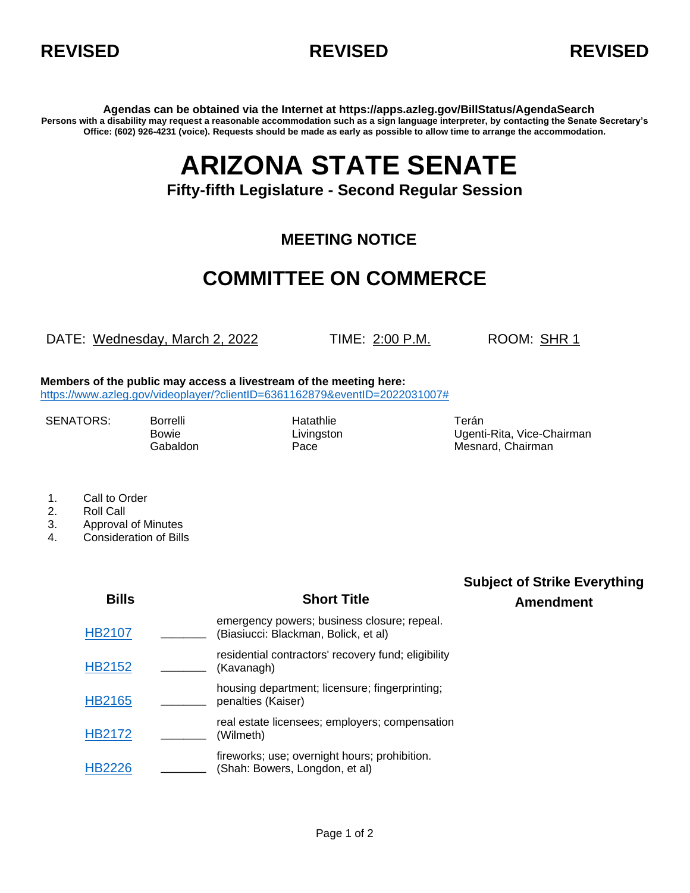



**Agendas can be obtained via the Internet at https://apps.azleg.gov/BillStatus/AgendaSearch Persons with a disability may request a reasonable accommodation such as a sign language interpreter, by contacting the Senate Secretary's Office: (602) 926-4231 (voice). Requests should be made as early as possible to allow time to arrange the accommodation.**

# **ARIZONA STATE SENATE**

### **Fifty-fifth Legislature - Second Regular Session**

#### **MEETING NOTICE**

## **COMMITTEE ON COMMERCE**

DATE: Wednesday, March 2, 2022 TIME: 2:00 P.M. ROOM: SHR 1

**Members of the public may access a livestream of the meeting here:** [https://www.azleg.gov/videoplayer/?clientID=6361162879&eventID=2022031007#](https://www.azleg.gov/videoplayer/?clientID=6361162879&eventID=2022031007)

SENATORS: Borrelli Hatathlie Hatathlie Terán

Bowie Livingston Ugenti-Rita, Vice-Chairman Gabaldon **Pace** Pace **Mesnard, Chairman** 

- 1. Call to Order
- 2. Roll Call
- 3. Approval of Minutes
- 4. Consideration of Bills

| <b>Bills</b>  | <b>Short Title</b>                                                                  | <b>Subject of Strike Everything</b><br><b>Amendment</b> |
|---------------|-------------------------------------------------------------------------------------|---------------------------------------------------------|
| <b>HB2107</b> | emergency powers; business closure; repeal.<br>(Biasiucci: Blackman, Bolick, et al) |                                                         |
| <b>HB2152</b> | residential contractors' recovery fund; eligibility<br>(Kavanagh)                   |                                                         |
| <b>HB2165</b> | housing department; licensure; fingerprinting;<br>penalties (Kaiser)                |                                                         |
| <b>HB2172</b> | real estate licensees; employers; compensation<br>(Wilmeth)                         |                                                         |
| <b>HB2226</b> | fireworks; use; overnight hours; prohibition.<br>(Shah: Bowers, Longdon, et al)     |                                                         |